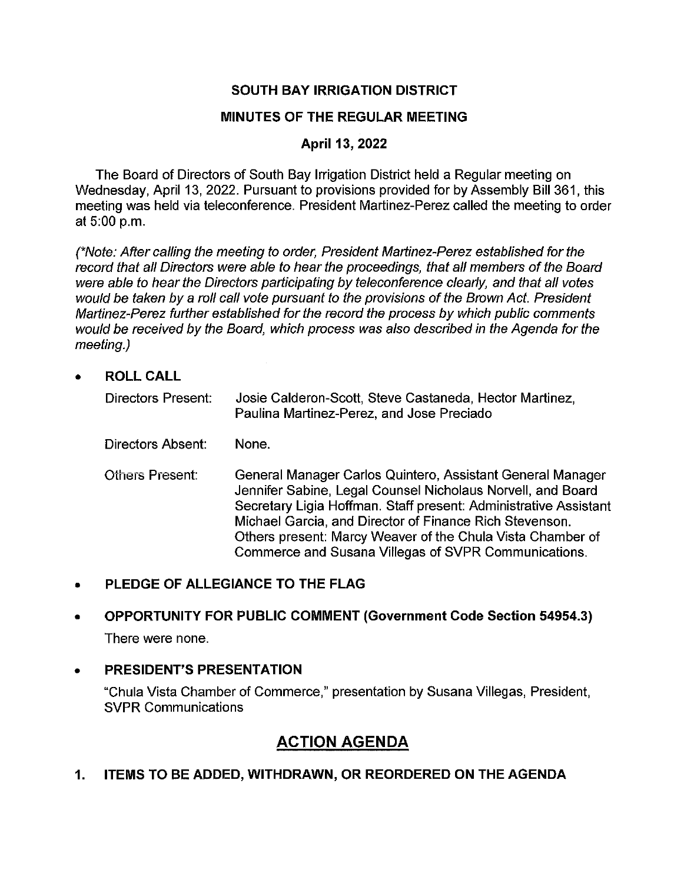## **SOUTH BAY IRRIGATION DISTRICT**

## **MINUTES OF THE REGULAR MEETING**

## **April 13, 2022**

The Board of Directors of South Bay Irrigation District held a Regular meeting on Wednesday, April 13, 2022. Pursuant to provisions provided for by Assembly Bill 361, this meeting was held via teleconference. President Martinez-Perez called the meeting to order at 5:00 p.m.

(\*Note: After calling the meeting to order, President Martinez-Perez established for the record that all Directors were able to hear the proceedings, that all members of the Board were able to hear the Directors participating by teleconference clearly, and that all votes would be taken by a roll call vote pursuant to the provisions of the Brown Act. President Martinez-Perez further established for the record the process by which public comments would be received by the Board, which process was also described in the Agenda for the meeting.)

• **ROLL CALL** 

| <b>Directors Present:</b> | Josie Calderon-Scott, Steve Castaneda, Hector Martinez,<br>Paulina Martinez-Perez, and Jose Preciado                                                                                                                                                                                                                                                                           |
|---------------------------|--------------------------------------------------------------------------------------------------------------------------------------------------------------------------------------------------------------------------------------------------------------------------------------------------------------------------------------------------------------------------------|
| Directors Absent:         | None.                                                                                                                                                                                                                                                                                                                                                                          |
| <b>Others Present:</b>    | General Manager Carlos Quintero, Assistant General Manager<br>Jennifer Sabine, Legal Counsel Nicholaus Norvell, and Board<br>Secretary Ligia Hoffman. Staff present: Administrative Assistant<br>Michael Garcia, and Director of Finance Rich Stevenson.<br>Others present: Marcy Weaver of the Chula Vista Chamber of<br>Commerce and Susana Villegas of SVPR Communications. |

## • **PLEDGE OF ALLEGIANCE TO THE FLAG**

# • **OPPORTUNITY FOR PUBLIC COMMENT (Government Code Section 54954.3)**  There were none.

## • **PRESIDENT'S PRESENTATION**

"Chula Vista Chamber of Commerce," presentation by Susana Villegas, President, SVPR Communications

# **ACTION AGENDA**

**1. ITEMS TO BE ADDED, WITHDRAWN, OR REORDERED ON THE AGENDA**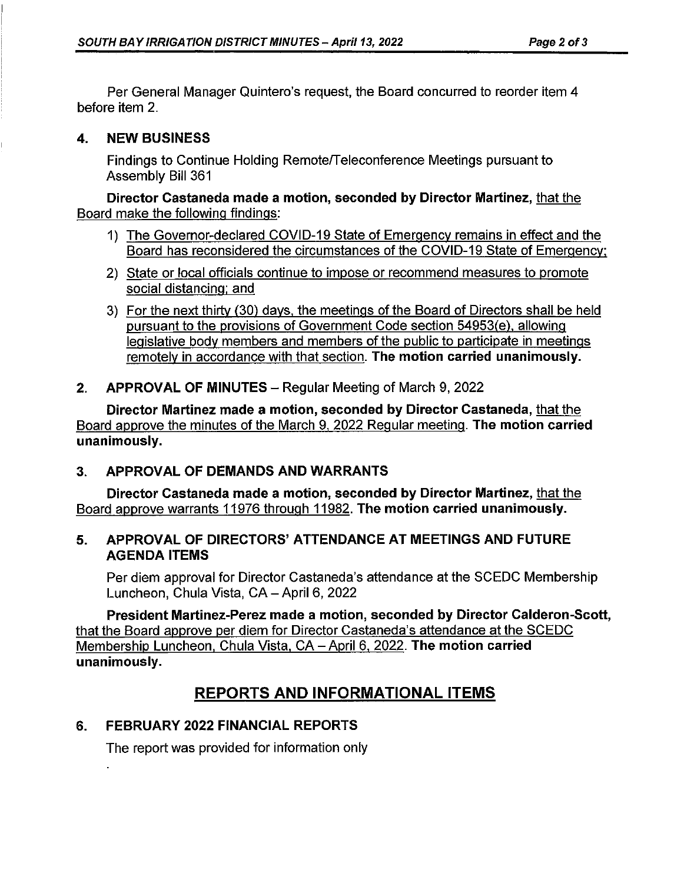Per General Manager Quintero's request, the Board concurred to reorder item 4 before item 2.

## **4. NEW BUSINESS**

Findings to Continue Holding Remote/Teleconference Meetings pursuant to Assembly Bill 361

**Director Castaneda made a motion, seconded by Director Martinez,** that the Board make the following findings:

- 1) The Governor-declared COVID-19 State of Emergency remains in effect and the Board has reconsidered the circumstances of the COVID-19 State of Emergency:
- 2) State or local officials continue to impose or recommend measures to promote social distancing: and
- 3) For the next thirty (30) days, the meetings of the Board of Directors shall be held pursuant to the provisions of Government Code section 54953(e), allowing legislative body members and members of the public to participate in meetings remotely in accordance with that section. **The motion carried unanimously.**
- **2. APPROVAL OF MINUTES-** Regular Meeting of March 9, 2022

**Director Martinez made a motion, seconded by Director Castaneda,** that the Board approve the minutes of the March 9, 2022 Regular meeting. **The motion carried unanimously.** 

# **3. APPROVAL OF DEMANDS AND WARRANTS**

**Director Castaneda made a motion, seconded by Director Martinez,** that the Board approve warrants 11976 through 11982. **The motion carried unanimously.** 

## **5. APPROVAL OF DIRECTORS' ATTENDANCE AT MEETINGS AND FUTURE AGENDA ITEMS**

Per diem approval for Director Castaneda's attendance at the SCEDC Membership Luncheon, Chula Vista, CA - April 6, 2022

**President Martinez-Perez made a motion, seconded by Director Calderon-Scott,**  that the Board approve per diem for Director Castaneda's attendance at the SCEDC Membership Luncheon, Chula Vista, CA -April 6, 2022. **The motion carried unanimously.** 

# **REPORTS AND INFORMATIONAL ITEMS**

# **6. FEBRUARY 2022 FINANCIAL REPORTS**

The report was provided for information only